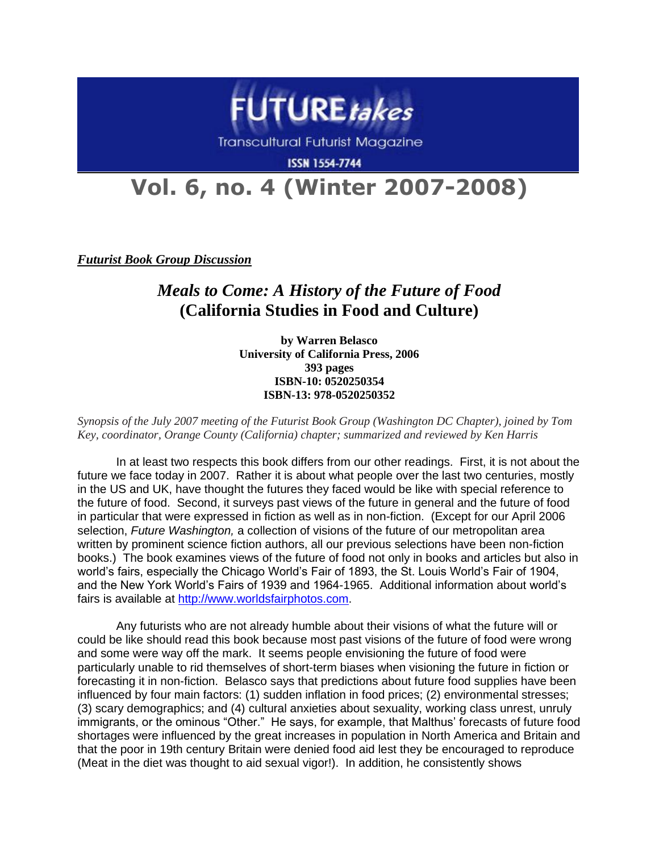

**Transcultural Futurist Magazine** 

**ISSN 1554-7744** 

## **Vol. 6, no. 4 (Winter 2007-2008)**

*Futurist Book Group Discussion*

## *Meals to Come: A History of the Future of Food* **(California Studies in Food and Culture)**

**by Warren Belasco University of California Press, 2006 393 pages ISBN-10: 0520250354 ISBN-13: 978-0520250352**

*Synopsis of the July 2007 meeting of the Futurist Book Group (Washington DC Chapter), joined by Tom Key, coordinator, Orange County (California) chapter; summarized and reviewed by Ken Harris*

In at least two respects this book differs from our other readings. First, it is not about the future we face today in 2007. Rather it is about what people over the last two centuries, mostly in the US and UK, have thought the futures they faced would be like with special reference to the future of food. Second, it surveys past views of the future in general and the future of food in particular that were expressed in fiction as well as in non-fiction. (Except for our April 2006 selection, *Future Washington,* a collection of visions of the future of our metropolitan area written by prominent science fiction authors, all our previous selections have been non-fiction books.) The book examines views of the future of food not only in books and articles but also in world"s fairs, especially the Chicago World"s Fair of 1893, the St. Louis World"s Fair of 1904, and the New York World"s Fairs of 1939 and 1964-1965. Additional information about world"s fairs is available at [http://www.worldsfairphotos.com.](http://www.worldsfairphotos.com/)

Any futurists who are not already humble about their visions of what the future will or could be like should read this book because most past visions of the future of food were wrong and some were way off the mark. It seems people envisioning the future of food were particularly unable to rid themselves of short-term biases when visioning the future in fiction or forecasting it in non-fiction. Belasco says that predictions about future food supplies have been influenced by four main factors: (1) sudden inflation in food prices; (2) environmental stresses; (3) scary demographics; and (4) cultural anxieties about sexuality, working class unrest, unruly immigrants, or the ominous "Other." He says, for example, that Malthus' forecasts of future food shortages were influenced by the great increases in population in North America and Britain and that the poor in 19th century Britain were denied food aid lest they be encouraged to reproduce (Meat in the diet was thought to aid sexual vigor!). In addition, he consistently shows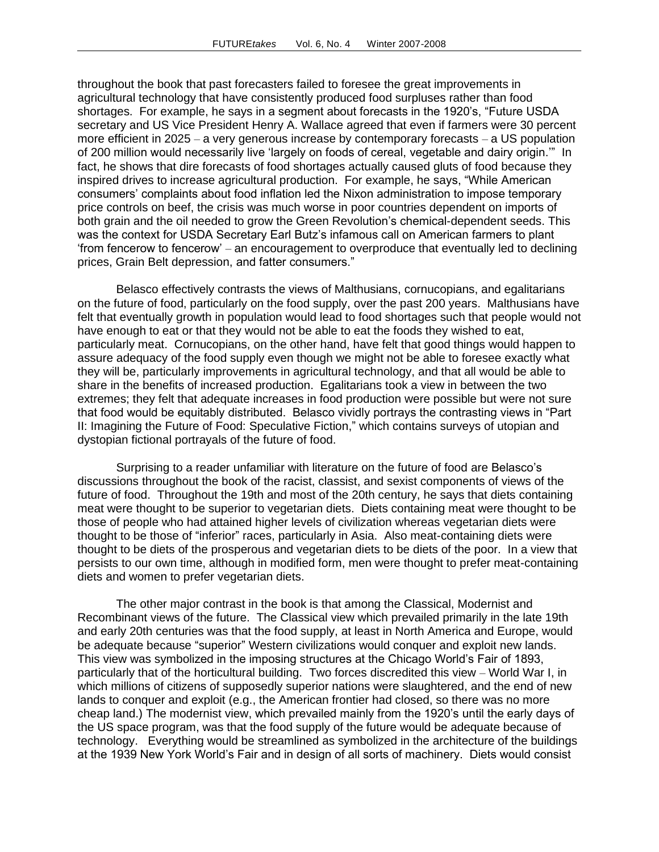throughout the book that past forecasters failed to foresee the great improvements in agricultural technology that have consistently produced food surpluses rather than food shortages. For example, he says in a segment about forecasts in the 1920"s, "Future USDA secretary and US Vice President Henry A. Wallace agreed that even if farmers were 30 percent more efficient in 2025 – a very generous increase by contemporary forecasts – a US population of 200 million would necessarily live "largely on foods of cereal, vegetable and dairy origin."" In fact, he shows that dire forecasts of food shortages actually caused gluts of food because they inspired drives to increase agricultural production. For example, he says, "While American consumers" complaints about food inflation led the Nixon administration to impose temporary price controls on beef, the crisis was much worse in poor countries dependent on imports of both grain and the oil needed to grow the Green Revolution"s chemical-dependent seeds. This was the context for USDA Secretary Earl Butz"s infamous call on American farmers to plant "from fencerow to fencerow" – an encouragement to overproduce that eventually led to declining prices, Grain Belt depression, and fatter consumers."

Belasco effectively contrasts the views of Malthusians, cornucopians, and egalitarians on the future of food, particularly on the food supply, over the past 200 years. Malthusians have felt that eventually growth in population would lead to food shortages such that people would not have enough to eat or that they would not be able to eat the foods they wished to eat, particularly meat. Cornucopians, on the other hand, have felt that good things would happen to assure adequacy of the food supply even though we might not be able to foresee exactly what they will be, particularly improvements in agricultural technology, and that all would be able to share in the benefits of increased production. Egalitarians took a view in between the two extremes; they felt that adequate increases in food production were possible but were not sure that food would be equitably distributed. Belasco vividly portrays the contrasting views in "Part II: Imagining the Future of Food: Speculative Fiction," which contains surveys of utopian and dystopian fictional portrayals of the future of food.

Surprising to a reader unfamiliar with literature on the future of food are Belasco"s discussions throughout the book of the racist, classist, and sexist components of views of the future of food. Throughout the 19th and most of the 20th century, he says that diets containing meat were thought to be superior to vegetarian diets. Diets containing meat were thought to be those of people who had attained higher levels of civilization whereas vegetarian diets were thought to be those of "inferior" races, particularly in Asia. Also meat-containing diets were thought to be diets of the prosperous and vegetarian diets to be diets of the poor. In a view that persists to our own time, although in modified form, men were thought to prefer meat-containing diets and women to prefer vegetarian diets.

The other major contrast in the book is that among the Classical, Modernist and Recombinant views of the future. The Classical view which prevailed primarily in the late 19th and early 20th centuries was that the food supply, at least in North America and Europe, would be adequate because "superior" Western civilizations would conquer and exploit new lands. This view was symbolized in the imposing structures at the Chicago World"s Fair of 1893, particularly that of the horticultural building. Two forces discredited this view – World War I, in which millions of citizens of supposedly superior nations were slaughtered, and the end of new lands to conquer and exploit (e.g., the American frontier had closed, so there was no more cheap land.) The modernist view, which prevailed mainly from the 1920"s until the early days of the US space program, was that the food supply of the future would be adequate because of technology. Everything would be streamlined as symbolized in the architecture of the buildings at the 1939 New York World"s Fair and in design of all sorts of machinery. Diets would consist